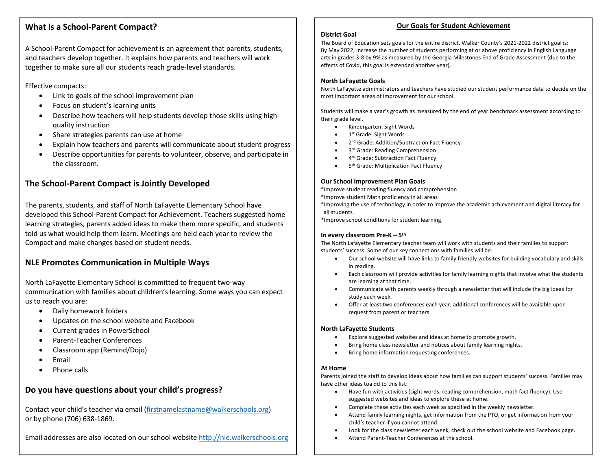### **What is a School-Parent Compact?**

A School-Parent Compact for achievement is an agreement that parents, students, and teachers develop together. It explains how parents and teachers will work together to make sure all our students reach grade-level standards.

Effective compacts:

- Link to goals of the school improvement plan
- Focus on student's learning units
- Describe how teachers will help students develop those skills using highquality instruction
- Share strategies parents can use at home
- Explain how teachers and parents will communicate about student progress
- Describe opportunities for parents to volunteer, observe, and participate in the classroom.

## **The School-Parent Compact is Jointly Developed**

The parents, students, and staff of North LaFayette Elementary School have developed this School-Parent Compact for Achievement. Teachers suggested home learning strategies, parents added ideas to make them more specific, and students told us what would help them learn. Meetings are held each year to review the Compact and make changes based on student needs.

### **NLE Promotes Communication in Multiple Ways**

North LaFayette Elementary School is committed to frequent two-way communication with families about children's learning. Some ways you can expect us to reach you are:

- Daily homework folders
- Updates on the school website and Facebook
- Current grades in PowerSchool
- Parent-Teacher Conferences
- Classroom app (Remind/Dojo)
- Email
- Phone calls

### **Do you have questions about your child's progress?**

Contact your child's teacher via email (firstnamelastname@walkerschools.org) or by phone (706) 638-1869.

Email addresses are also located on our school website http://nle.walkerschools.org

#### **Our Goals for Student Achievement**

#### **District Goal**

The Board of Education sets goals for the entire district. Walker County's 2021-2022 district goal is: By May 2022, increase the number of students performing at or above proficiency in English Language arts in grades 3-8 by 9% as measured by the Georgia Milestones End of Grade Assessment (due to the effects of Covid, this goal is extended another year).

#### **North LaFayette Goals**

North LaFayette administrators and teachers have studied our student performance data to decide on the most important areas of improvement for our school.

Students will make a year's growth as measured by the end of year benchmark assessment according to their grade level.

- Kindergarten: Sight Words
- 1<sup>st</sup> Grade: Sight Words
- 2<sup>nd</sup> Grade: Addition/Subtraction Fact Fluency
- 3<sup>rd</sup> Grade: Reading Comprehension
- 4th Grade: Subtraction Fact Fluency
- 5<sup>th</sup> Grade: Multiplication Fact Fluency

#### **Our School Improvement Plan Goals**

\*Improve student reading fluency and comprehension

- \*Improve student Math proficiency in all areas
- \*Improving the use of technology in order to improve the academic achievement and digital literacy for all students.

\*Improve school conditions for student learning.

#### **In every classroom Pre-K – 5th**

The North Lafayette Elementary teacher team will work with students and their families to support students' success. Some of our key connections with families will be:

- Our school website will have links to family friendly websites for building vocabulary and skills in reading.
- Each classroom will provide activities for family learning nights that involve what the students are learning at that time.
- Communicate with parents weekly through a newsletter that will include the big ideas for study each week.
- Offer at least two conferences each year, additional conferences will be available upon request from parent or teachers.

#### **North LaFayette Students**

- Explore suggested websites and ideas at home to promote growth.
- Bring home class newsletter and notices about family learning nights.
- Bring home information requesting conferences.

#### **At Home**

Parents joined the staff to develop ideas about how families can support students' success. Families may have other ideas toa dd to this list:

- Have fun with activities (sight words, reading comprehension, math fact fluency). Use suggested websites and ideas to explore these at home.
- Complete these activities each week as specified in the weekly newsletter.
- Attend family learning nights, get information from the PTO, or get information from your child's teacher if you cannot attend.
- Look for the class newsletter each week, check out the school website and Facebook page.
- Attend Parent-Teacher Conferences at the school.